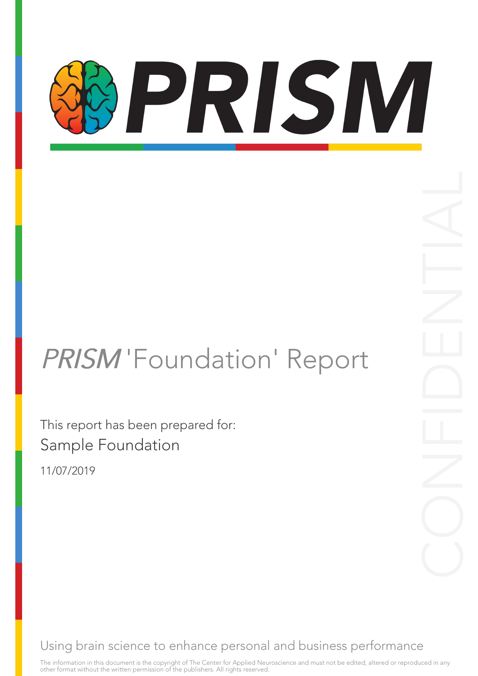# PRISM

### PRISM 'Foundation' Report

This report has been prepared for: Sample Foundation

11/07/2019

Using brain science to enhance personal and business performance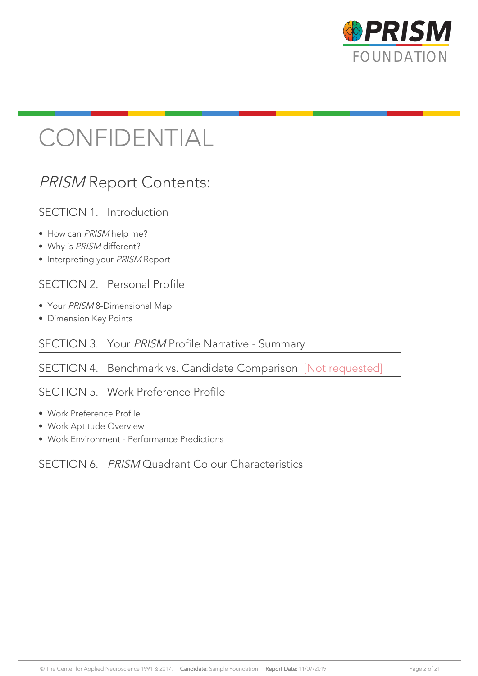

### CONFIDENTIAL

### PRISM Report Contents:

#### SECTION 1. Introduction

- How can PRISM help me?
- Why is PRISM different?
- Interpreting your PRISM Report

#### SECTION 2. Personal Profile

- Your PRISM 8-Dimensional Map
- Dimension Key Points

#### SECTION 3. Your PRISM Profile Narrative - Summary

#### SECTION 4. Benchmark vs. Candidate Comparison [Not requested]

#### SECTION 5. Work Preference Profile

- Work Preference Profile
- Work Aptitude Overview
- Work Environment Performance Predictions

#### SECTION 6. PRISM Quadrant Colour Characteristics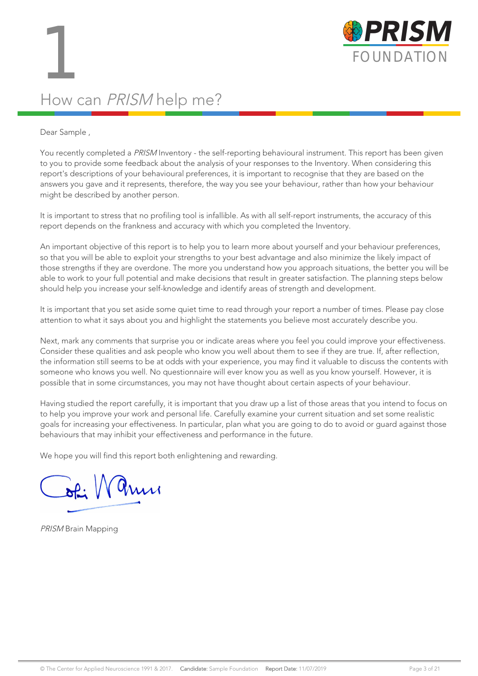

### How can PRISM help me?

#### Dear Sample ,

You recently completed a PRISM Inventory - the self-reporting behavioural instrument. This report has been given to you to provide some feedback about the analysis of your responses to the Inventory. When considering this report's descriptions of your behavioural preferences, it is important to recognise that they are based on the answers you gave and it represents, therefore, the way you see your behaviour, rather than how your behaviour might be described by another person.

It is important to stress that no profiling tool is infallible. As with all self-report instruments, the accuracy of this report depends on the frankness and accuracy with which you completed the Inventory.

An important objective of this report is to help you to learn more about yourself and your behaviour preferences, so that you will be able to exploit your strengths to your best advantage and also minimize the likely impact of those strengths if they are overdone. The more you understand how you approach situations, the better you will be able to work to your full potential and make decisions that result in greater satisfaction. The planning steps below should help you increase your self-knowledge and identify areas of strength and development.

It is important that you set aside some quiet time to read through your report a number of times. Please pay close attention to what it says about you and highlight the statements you believe most accurately describe you.

Next, mark any comments that surprise you or indicate areas where you feel you could improve your effectiveness. Consider these qualities and ask people who know you well about them to see if they are true. If, after reflection, the information still seems to be at odds with your experience, you may find it valuable to discuss the contents with someone who knows you well. No questionnaire will ever know you as well as you know yourself. However, it is possible that in some circumstances, you may not have thought about certain aspects of your behaviour.

Having studied the report carefully, it is important that you draw up a list of those areas that you intend to focus on to help you improve your work and personal life. Carefully examine your current situation and set some realistic goals for increasing your effectiveness. In particular, plan what you are going to do to avoid or guard against those behaviours that may inhibit your effectiveness and performance in the future.

We hope you will find this report both enlightening and rewarding.

 $\sqrt{a}$ 

PRISM Brain Mapping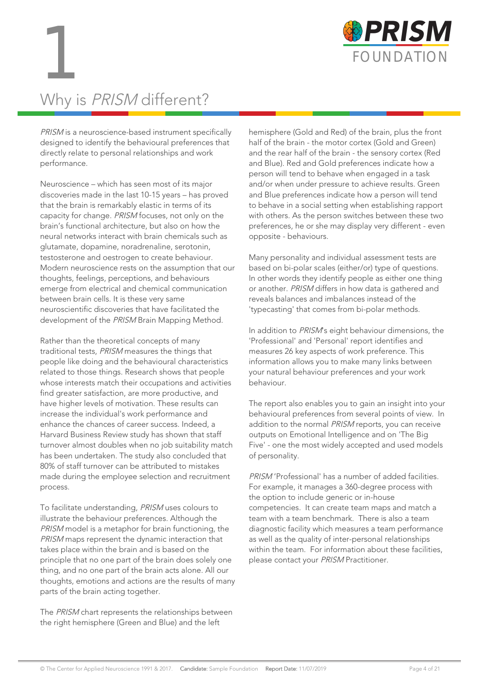

### Why is PRISM different?

PRISM is a neuroscience-based instrument specifically designed to identify the behavioural preferences that directly relate to personal relationships and work performance.

Neuroscience – which has seen most of its major discoveries made in the last 10-15 years – has proved that the brain is remarkably elastic in terms of its capacity for change. PRISM focuses, not only on the brain's functional architecture, but also on how the neural networks interact with brain chemicals such as glutamate, dopamine, noradrenaline, serotonin, testosterone and oestrogen to create behaviour. Modern neuroscience rests on the assumption that our thoughts, feelings, perceptions, and behaviours emerge from electrical and chemical communication between brain cells. It is these very same neuroscientific discoveries that have facilitated the development of the PRISM Brain Mapping Method.

Rather than the theoretical concepts of many traditional tests, PRISM measures the things that people like doing and the behavioural characteristics related to those things. Research shows that people whose interests match their occupations and activities find greater satisfaction, are more productive, and have higher levels of motivation. These results can increase the individual's work performance and enhance the chances of career success. Indeed, a Harvard Business Review study has shown that staff turnover almost doubles when no job suitability match has been undertaken. The study also concluded that 80% of staff turnover can be attributed to mistakes made during the employee selection and recruitment process.

To facilitate understanding, PRISM uses colours to illustrate the behaviour preferences. Although the PRISM model is a metaphor for brain functioning, the PRISM maps represent the dynamic interaction that takes place within the brain and is based on the principle that no one part of the brain does solely one thing, and no one part of the brain acts alone. All our thoughts, emotions and actions are the results of many parts of the brain acting together.

The PRISM chart represents the relationships between the right hemisphere (Green and Blue) and the left

hemisphere (Gold and Red) of the brain, plus the front half of the brain - the motor cortex (Gold and Green) and the rear half of the brain - the sensory cortex (Red and Blue). Red and Gold preferences indicate how a person will tend to behave when engaged in a task and/or when under pressure to achieve results. Green and Blue preferences indicate how a person will tend to behave in a social setting when establishing rapport with others. As the person switches between these two preferences, he or she may display very different - even opposite - behaviours.

Many personality and individual assessment tests are based on bi-polar scales (either/or) type of questions. In other words they identify people as either one thing or another. PRISM differs in how data is gathered and reveals balances and imbalances instead of the 'typecasting' that comes from bi-polar methods.

In addition to PRISM's eight behaviour dimensions, the 'Professional' and 'Personal' report identifies and measures 26 key aspects of work preference. This information allows you to make many links between your natural behaviour preferences and your work behaviour.

The report also enables you to gain an insight into your behavioural preferences from several points of view. In addition to the normal PRISM reports, you can receive outputs on Emotional Intelligence and on 'The Big Five' - one the most widely accepted and used models of personality.

PRISM 'Professional' has a number of added facilities. For example, it manages a 360-degree process with the option to include generic or in-house competencies. It can create team maps and match a team with a team benchmark. There is also a team diagnostic facility which measures a team performance as well as the quality of inter-personal relationships within the team. For information about these facilities, please contact your PRISM Practitioner.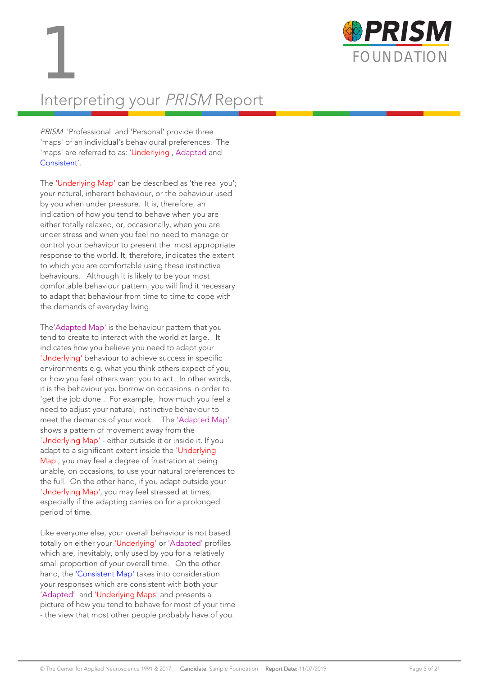



### Interpreting your PRISM Report

PRISM 'Professional' and 'Personal' provide three 'maps' of an individual's behavioural preferences. The 'maps' are referred to as: 'Underlying , Adapted and Consistent'.

The 'Underlying Map' can be described as 'the real you'; your natural, inherent behaviour, or the behaviour used by you when under pressure. It is, therefore, an indication of how you tend to behave when you are either totally relaxed, or, occasionally, when you are under stress and when you feel no need to manage or control your behaviour to present the most appropriate response to the world. It, therefore, indicates the extent to which you are comfortable using these instinctive behaviours. Although it is likely to be your most comfortable behaviour pattern, you will find it necessary to adapt that behaviour from time to time to cope with the demands of everyday living.

The'Adapted Map' is the behaviour pattern that you tend to create to interact with the world at large. It indicates how you believe you need to adapt your 'Underlying' behaviour to achieve success in specific environments e.g. what you think others expect of you, or how you feel others want you to act. In other words, it is the behaviour you borrow on occasions in order to 'get the job done'. For example, how much you feel a need to adjust your natural, instinctive behaviour to meet the demands of your work. The 'Adapted Map' shows a pattern of movement away from the 'Underlying Map' - either outside it or inside it. If you adapt to a significant extent inside the 'Underlying Map', you may feel a degree of frustration at being unable, on occasions, to use your natural preferences to the full. On the other hand, if you adapt outside your 'Underlying Map', you may feel stressed at times, especially if the adapting carries on for a prolonged period of time.

Like everyone else, your overall behaviour is not based totally on either your 'Underlying' or 'Adapted' profiles which are, inevitably, only used by you for a relatively small proportion of your overall time. On the other hand, the 'Consistent Map' takes into consideration your responses which are consistent with both your 'Adapted' and 'Underlying Maps' and presents a picture of how you tend to behave for most of your time - the view that most other people probably have of you.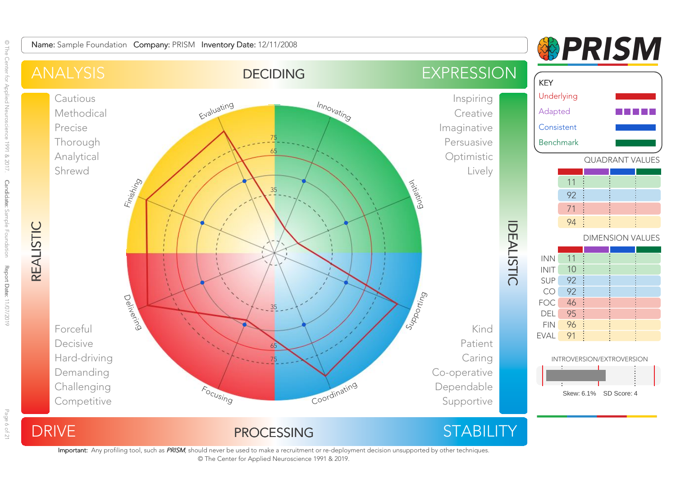

Important: Any profiling tool, such as PRISM, should never be used to make a recruitment or re-deployment decision unsupported by other techniques. © The Center for Applied Neuroscience 1991 & 2019.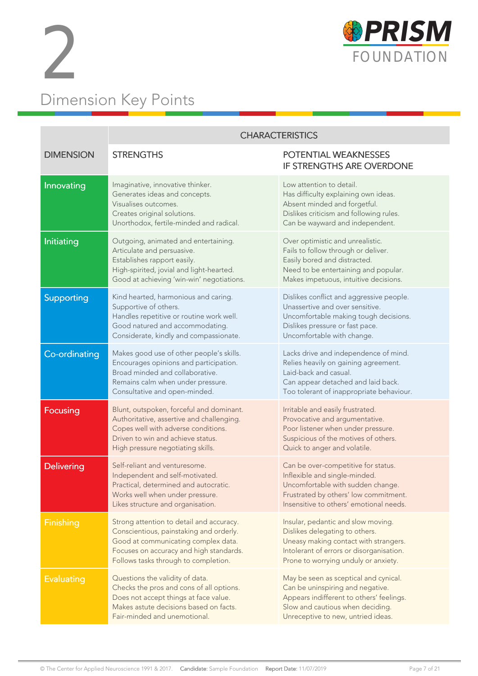



|                   | <b>CHARACTERISTICS</b>                                                                                                                                                                                                                                                                                                                                                          |                                                                                                                                                                                                   |  |  |
|-------------------|---------------------------------------------------------------------------------------------------------------------------------------------------------------------------------------------------------------------------------------------------------------------------------------------------------------------------------------------------------------------------------|---------------------------------------------------------------------------------------------------------------------------------------------------------------------------------------------------|--|--|
| <b>DIMENSION</b>  | <b>STRENGTHS</b>                                                                                                                                                                                                                                                                                                                                                                | POTENTIAL WEAKNESSES<br><b>IF STRENGTHS ARE OVERDONE</b>                                                                                                                                          |  |  |
| Innovating        | Imaginative, innovative thinker.<br>Generates ideas and concepts.<br>Visualises outcomes.<br>Creates original solutions.<br>Unorthodox, fertile-minded and radical.                                                                                                                                                                                                             | Low attention to detail.<br>Has difficulty explaining own ideas.<br>Absent minded and forgetful.<br>Dislikes criticism and following rules.<br>Can be wayward and independent.                    |  |  |
| Initiating        | Outgoing, animated and entertaining.<br>Articulate and persuasive.<br>Establishes rapport easily.<br>High-spirited, jovial and light-hearted.<br>Good at achieving 'win-win' negotiations.                                                                                                                                                                                      | Over optimistic and unrealistic.<br>Fails to follow through or deliver.<br>Easily bored and distracted.<br>Need to be entertaining and popular.<br>Makes impetuous, intuitive decisions.          |  |  |
| Supporting        | Kind hearted, harmonious and caring.<br>Dislikes conflict and aggressive people.<br>Unassertive and over sensitive.<br>Supportive of others.<br>Handles repetitive or routine work well.<br>Uncomfortable making tough decisions.<br>Good natured and accommodating.<br>Dislikes pressure or fast pace.<br>Considerate, kindly and compassionate.<br>Uncomfortable with change. |                                                                                                                                                                                                   |  |  |
| Co-ordinating     | Makes good use of other people's skills.<br>Encourages opinions and participation.<br>Broad minded and collaborative.<br>Remains calm when under pressure.<br>Consultative and open-minded.                                                                                                                                                                                     | Lacks drive and independence of mind.<br>Relies heavily on gaining agreement.<br>Laid-back and casual.<br>Can appear detached and laid back.<br>Too tolerant of inappropriate behaviour.          |  |  |
| Focusing          | Blunt, outspoken, forceful and dominant.<br>Authoritative, assertive and challenging.<br>Copes well with adverse conditions.<br>Driven to win and achieve status.<br>High pressure negotiating skills.                                                                                                                                                                          | Irritable and easily frustrated.<br>Provocative and argumentative.<br>Poor listener when under pressure.<br>Suspicious of the motives of others.<br>Quick to anger and volatile.                  |  |  |
| <b>Delivering</b> | Self-reliant and venturesome.<br>Independent and self-motivated.<br>Practical, determined and autocratic.<br>Works well when under pressure.<br>Likes structure and organisation.                                                                                                                                                                                               | Can be over-competitive for status.<br>Inflexible and single-minded.<br>Uncomfortable with sudden change.<br>Frustrated by others' low commitment.<br>Insensitive to others' emotional needs.     |  |  |
| <b>Finishing</b>  | Strong attention to detail and accuracy.<br>Conscientious, painstaking and orderly.<br>Good at communicating complex data.<br>Focuses on accuracy and high standards.<br>Follows tasks through to completion.                                                                                                                                                                   | Insular, pedantic and slow moving.<br>Dislikes delegating to others.<br>Uneasy making contact with strangers.<br>Intolerant of errors or disorganisation.<br>Prone to worrying unduly or anxiety. |  |  |
| <b>Evaluating</b> | Questions the validity of data.<br>Checks the pros and cons of all options.<br>Does not accept things at face value.<br>Makes astute decisions based on facts.<br>Fair-minded and unemotional.                                                                                                                                                                                  | May be seen as sceptical and cynical.<br>Can be uninspiring and negative.<br>Appears indifferent to others' feelings.<br>Slow and cautious when deciding.<br>Unreceptive to new, untried ideas.   |  |  |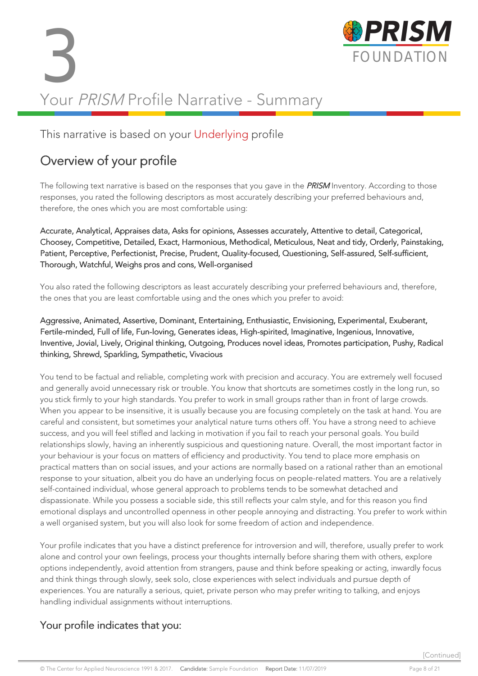# 3 FOUNDATION Your PRISM Profile Narrative - Summary



#### This narrative is based on your Underlying profile

### Overview of your profile

The following text narrative is based on the responses that you gave in the **PRISM** Inventory. According to those responses, you rated the following descriptors as most accurately describing your preferred behaviours and, therefore, the ones which you are most comfortable using:

Accurate, Analytical, Appraises data, Asks for opinions, Assesses accurately, Attentive to detail, Categorical, Choosey, Competitive, Detailed, Exact, Harmonious, Methodical, Meticulous, Neat and tidy, Orderly, Painstaking, Patient, Perceptive, Perfectionist, Precise, Prudent, Quality-focused, Questioning, Self-assured, Self-sufficient, Thorough, Watchful, Weighs pros and cons, Well-organised

You also rated the following descriptors as least accurately describing your preferred behaviours and, therefore, the ones that you are least comfortable using and the ones which you prefer to avoid:

#### Aggressive, Animated, Assertive, Dominant, Entertaining, Enthusiastic, Envisioning, Experimental, Exuberant, Fertile-minded, Full of life, Fun-loving, Generates ideas, High-spirited, Imaginative, Ingenious, Innovative, Inventive, Jovial, Lively, Original thinking, Outgoing, Produces novel ideas, Promotes participation, Pushy, Radical thinking, Shrewd, Sparkling, Sympathetic, Vivacious

You tend to be factual and reliable, completing work with precision and accuracy. You are extremely well focused and generally avoid unnecessary risk or trouble. You know that shortcuts are sometimes costly in the long run, so you stick firmly to your high standards. You prefer to work in small groups rather than in front of large crowds. When you appear to be insensitive, it is usually because you are focusing completely on the task at hand. You are careful and consistent, but sometimes your analytical nature turns others off. You have a strong need to achieve success, and you will feel stifled and lacking in motivation if you fail to reach your personal goals. You build relationships slowly, having an inherently suspicious and questioning nature. Overall, the most important factor in your behaviour is your focus on matters of efficiency and productivity. You tend to place more emphasis on practical matters than on social issues, and your actions are normally based on a rational rather than an emotional response to your situation, albeit you do have an underlying focus on people-related matters. You are a relatively self-contained individual, whose general approach to problems tends to be somewhat detached and dispassionate. While you possess a sociable side, this still reflects your calm style, and for this reason you find emotional displays and uncontrolled openness in other people annoying and distracting. You prefer to work within a well organised system, but you will also look for some freedom of action and independence.

Your profile indicates that you have a distinct preference for introversion and will, therefore, usually prefer to work alone and control your own feelings, process your thoughts internally before sharing them with others, explore options independently, avoid attention from strangers, pause and think before speaking or acting, inwardly focus and think things through slowly, seek solo, close experiences with select individuals and pursue depth of experiences. You are naturally a serious, quiet, private person who may prefer writing to talking, and enjoys handling individual assignments without interruptions.

#### Your profile indicates that you: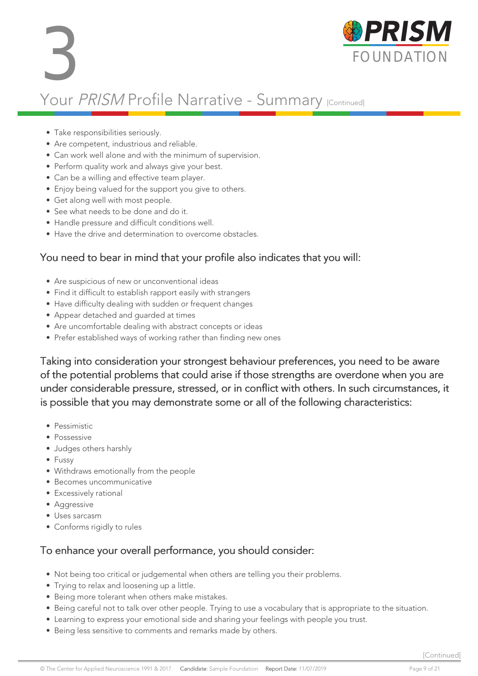

### Your PRISM Profile Narrative - Summary [Continued]

- Take responsibilities seriously.
- Are competent, industrious and reliable.
- Can work well alone and with the minimum of supervision.
- Perform quality work and always give your best.
- Can be a willing and effective team player.
- Enjoy being valued for the support you give to others.
- Get along well with most people.
- See what needs to be done and do it.
- Handle pressure and difficult conditions well.
- Have the drive and determination to overcome obstacles.

#### You need to bear in mind that your profile also indicates that you will:

- Are suspicious of new or unconventional ideas
- Find it difficult to establish rapport easily with strangers
- Have difficulty dealing with sudden or frequent changes
- Appear detached and guarded at times
- Are uncomfortable dealing with abstract concepts or ideas
- Prefer established ways of working rather than finding new ones

Taking into consideration your strongest behaviour preferences, you need to be aware of the potential problems that could arise if those strengths are overdone when you are under considerable pressure, stressed, or in conflict with others. In such circumstances, it is possible that you may demonstrate some or all of the following characteristics:

- Pessimistic
- Possessive
- Judges others harshly
- Fussy
- Withdraws emotionally from the people
- Becomes uncommunicative
- Excessively rational
- Aggressive
- Uses sarcasm
- Conforms rigidly to rules

#### To enhance your overall performance, you should consider:

- Not being too critical or judgemental when others are telling you their problems.
- Trying to relax and loosening up a little.
- Being more tolerant when others make mistakes.
- Being careful not to talk over other people. Trying to use a vocabulary that is appropriate to the situation.
- Learning to express your emotional side and sharing your feelings with people you trust.
- Being less sensitive to comments and remarks made by others.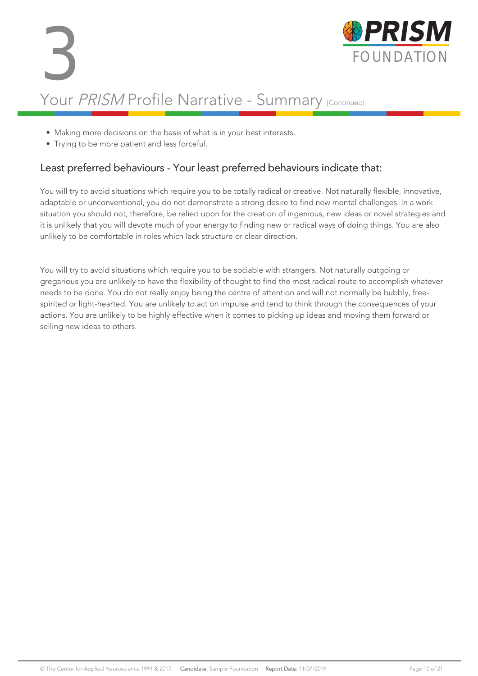

- Making more decisions on the basis of what is in your best interests.
- Trying to be more patient and less forceful.

#### Least preferred behaviours - Your least preferred behaviours indicate that:

You will try to avoid situations which require you to be totally radical or creative. Not naturally flexible, innovative, adaptable or unconventional, you do not demonstrate a strong desire to find new mental challenges. In a work situation you should not, therefore, be relied upon for the creation of ingenious, new ideas or novel strategies and it is unlikely that you will devote much of your energy to finding new or radical ways of doing things. You are also unlikely to be comfortable in roles which lack structure or clear direction.

You will try to avoid situations which require you to be sociable with strangers. Not naturally outgoing or gregarious you are unlikely to have the flexibility of thought to find the most radical route to accomplish whatever needs to be done. You do not really enjoy being the centre of attention and will not normally be bubbly, freespirited or light-hearted. You are unlikely to act on impulse and tend to think through the consequences of your actions. You are unlikely to be highly effective when it comes to picking up ideas and moving them forward or selling new ideas to others.

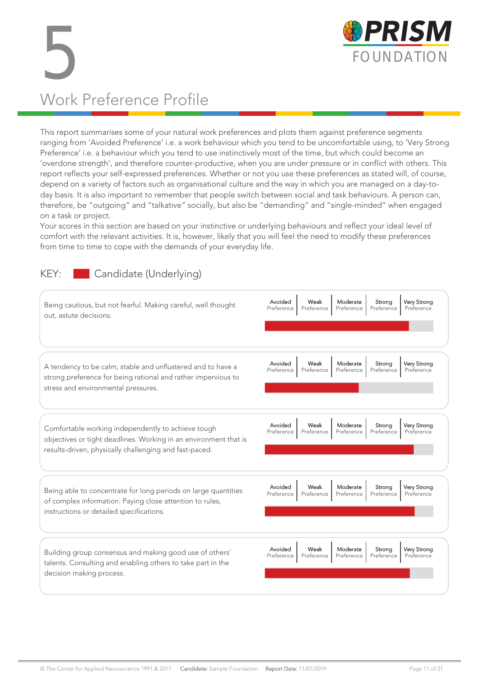

# 5 FOUNDATION Work Preference Profile

This report summarises some of your natural work preferences and plots them against preference segments ranging from 'Avoided Preference' i.e. a work behaviour which you tend to be uncomfortable using, to 'Very Strong Preference' i.e. a behaviour which you tend to use instinctively most of the time, but which could become an 'overdone strength', and therefore counter-productive, when you are under pressure or in conflict with others. This report reflects your self-expressed preferences. Whether or not you use these preferences as stated will, of course, depend on a variety of factors such as organisational culture and the way in which you are managed on a day-today basis. It is also important to remember that people switch between social and task behaviours. A person can, therefore, be "outgoing" and "talkative" socially, but also be "demanding" and "single-minded" when engaged on a task or project.

Your scores in this section are based on your instinctive or underlying behaviours and reflect your ideal level of comfort with the relevant activities. It is, however, likely that you will feel the need to modify these preferences from time to time to cope with the demands of your everyday life.

#### KEY: Candidate (Underlying)

| Being cautious, but not fearful. Making careful, well thought<br>out, astute decisions.                                                                                          | Avoided<br>Very Strong<br>Weak<br>Moderate<br>Strona<br>Preference<br>Preference<br>Preference<br>Preference<br>Preference        |
|----------------------------------------------------------------------------------------------------------------------------------------------------------------------------------|-----------------------------------------------------------------------------------------------------------------------------------|
| A tendency to be calm, stable and unflustered and to have a<br>strong preference for being rational and rather impervious to<br>stress and environmental pressures.              | Avoided<br>Weak<br>Moderate<br><b>Very Strong</b><br>Strong<br>Preference<br>Preference<br>Preference<br>Preference<br>Preference |
| Comfortable working independently to achieve tough<br>objectives or tight deadlines. Working in an environment that is<br>results-driven, physically challenging and fast-paced. | Avoided<br>Weak<br>Moderate<br><b>Very Strong</b><br>Strong<br>Preference<br>Preference<br>Preference<br>Preference<br>Preference |
| Being able to concentrate for long periods on large quantities<br>of complex information. Paying close attention to rules,<br>instructions or detailed specifications.           | Avoided<br>Weak<br><b>Very Strong</b><br>Moderate<br>Strong<br>Preference<br>Preference<br>Preference<br>Preference<br>Preference |
| Building group consensus and making good use of others'<br>talents. Consulting and enabling others to take part in the<br>decision making process.                               | Avoided<br>Weak<br>Moderate<br>Very Strong<br>Strona<br>Preference<br>Preference<br>Preference<br>Preference<br>Preference        |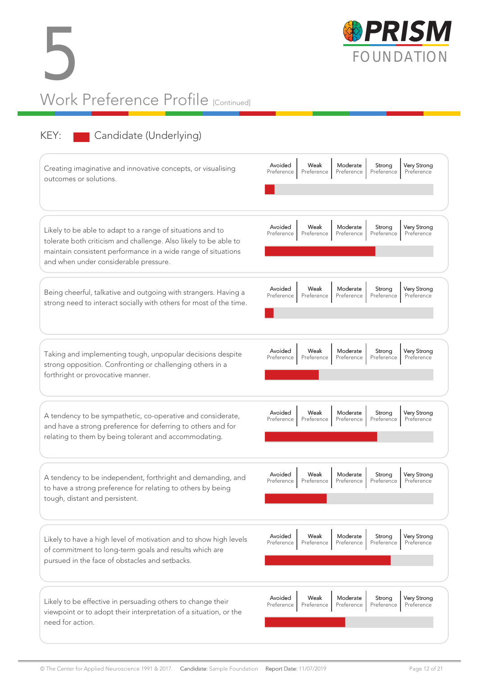



### KEY: Candidate (Underlying)

| Creating imaginative and innovative concepts, or visualising<br>outcomes or solutions.                                                                                                                                                   | Avoided<br>Weak<br>Moderate<br><b>Very Strong</b><br>Strong<br>Preference<br>Preference<br>Preference<br>Preference<br>Preference |
|------------------------------------------------------------------------------------------------------------------------------------------------------------------------------------------------------------------------------------------|-----------------------------------------------------------------------------------------------------------------------------------|
| Likely to be able to adapt to a range of situations and to<br>tolerate both criticism and challenge. Also likely to be able to<br>maintain consistent performance in a wide range of situations<br>and when under considerable pressure. | Avoided<br><b>Very Strong</b><br>Weak<br>Moderate<br>Strong<br>Preference<br>Preference<br>Preference<br>Preference<br>Preference |
| Being cheerful, talkative and outgoing with strangers. Having a<br>strong need to interact socially with others for most of the time.                                                                                                    | Avoided<br>Weak<br>Moderate<br>Strong<br><b>Very Strong</b><br>Preference<br>Preference<br>Preference<br>Preference<br>Preference |
| Taking and implementing tough, unpopular decisions despite<br>strong opposition. Confronting or challenging others in a<br>forthright or provocative manner.                                                                             | Avoided<br>Very Strong<br>Weak<br>Moderate<br>Strong<br>Preference<br>Preference<br>Preference<br>Preference<br>Preference        |
| A tendency to be sympathetic, co-operative and considerate,<br>and have a strong preference for deferring to others and for<br>relating to them by being tolerant and accommodating.                                                     | Avoided<br><b>Very Strong</b><br>Weak<br>Moderate<br>Strong<br>Preference<br>Preference<br>Preference<br>Preference<br>Preference |
| A tendency to be independent, forthright and demanding, and<br>to have a strong preference for relating to others by being<br>tough, distant and persistent.                                                                             | Avoided<br>Weak<br>Moderate<br><b>Very Strong</b><br>Strong<br>Preference<br>Preference<br>Preference<br>Preference<br>Preference |
| Likely to have a high level of motivation and to show high levels<br>of commitment to long-term goals and results which are<br>pursued in the face of obstacles and setbacks.                                                            | Avoided<br>Weak<br>Moderate<br>Very Strong<br>Strong<br>Preference<br>Preference<br>Preference<br>Preference<br>Preference        |
| Likely to be effective in persuading others to change their<br>viewpoint or to adopt their interpretation of a situation, or the<br>need for action.                                                                                     | Avoided<br>Weak<br>Moderate<br>Very Strong<br>Strong<br>Preference<br>Preference<br>Preference<br>Preference<br>Preference        |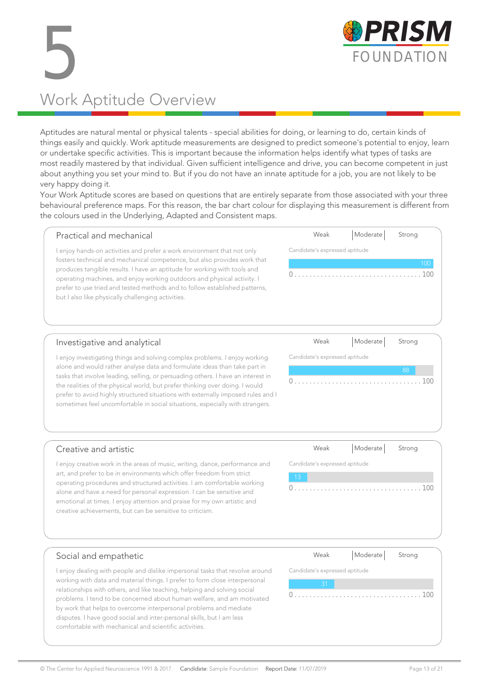

# 5 Work Aptitude Overview

Aptitudes are natural mental or physical talents - special abilities for doing, or learning to do, certain kinds of things easily and quickly. Work aptitude measurements are designed to predict someone's potential to enjoy, learn or undertake specific activities. This is important because the information helps identify what types of tasks are most readily mastered by that individual. Given sufficient intelligence and drive, you can become competent in just about anything you set your mind to. But if you do not have an innate aptitude for a job, you are not likely to be very happy doing it.

Your Work Aptitude scores are based on questions that are entirely separate from those associated with your three behavioural preference maps. For this reason, the bar chart colour for displaying this measurement is different from the colours used in the Underlying, Adapted and Consistent maps.

| Practical and mechanical                                                                                                                                                                                                                                                                                                                                                                                                                     | Weak                           | Moderate | Strong     |
|----------------------------------------------------------------------------------------------------------------------------------------------------------------------------------------------------------------------------------------------------------------------------------------------------------------------------------------------------------------------------------------------------------------------------------------------|--------------------------------|----------|------------|
| enjoy hands-on activities and prefer a work environment that not only<br>fosters technical and mechanical competence, but also provides work that<br>produces tangible results. I have an aptitude for working with tools and<br>operating machines, and enjoy working outdoors and physical activity. I<br>prefer to use tried and tested methods and to follow established patterns,<br>but I also like physically challenging activities. | Candidate's expressed aptitude |          | 100<br>100 |
|                                                                                                                                                                                                                                                                                                                                                                                                                                              | $\sqrt{2}$                     | النامما  |            |

#### Investigative and analytical

I enjoy investigating things and solving complex problems. I enjoy working alone and would rather analyse data and formulate ideas than take part in tasks that involve leading, selling, or persuading others. I have an interest in the realities of the physical world, but prefer thinking over doing. I would prefer to avoid highly structured situations with externally imposed rules and I sometimes feel uncomfortable in social situations, especially with strangers.

| Weak                           |  | Moderate Strong |  |
|--------------------------------|--|-----------------|--|
| Candidate's expressed aptitude |  |                 |  |
|                                |  | 88              |  |
|                                |  |                 |  |

#### Creative and artistic

I enjoy creative work in the areas of music, writing, dance, performance and art, and prefer to be in environments which offer freedom from strict operating procedures and structured activities. I am comfortable working alone and have a need for personal expression. I can be sensitive and emotional at times. I enjoy attention and praise for my own artistic and creative achievements, but can be sensitive to criticism.

|       | Weak                           | Moderate Strong |  |
|-------|--------------------------------|-----------------|--|
|       | Candidate's expressed aptitude |                 |  |
| $-13$ |                                |                 |  |
|       |                                |                 |  |
|       |                                |                 |  |
|       |                                |                 |  |

#### Social and empathetic

I enjoy dealing with people and dislike impersonal tasks that revolve around working with data and material things. I prefer to form close interpersonal relationships with others, and like teaching, helping and solving social problems. I tend to be concerned about human welfare, and am motivated by work that helps to overcome interpersonal problems and mediate disputes. I have good social and inter-personal skills, but I am less comfortable with mechanical and scientific activities.

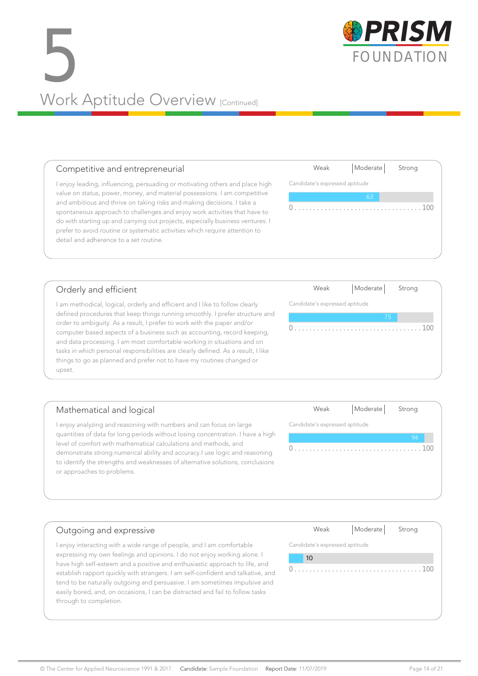## SPRISM Work Aptitude Overview [Continued]

#### Competitive and entrepreneurial

I enjoy leading, influencing, persuading or motivating others and place high value on status, power, money, and material possessions. I am competitive and ambitious and thrive on taking risks and making decisions. I take a spontaneous approach to challenges and enjoy work activities that have to do with starting up and carrying out projects, especially business ventures. I prefer to avoid routine or systematic activities which require attention to detail and adherence to a set routine.

#### Orderly and efficient

I am methodical, logical, orderly and efficient and I like to follow clearly defined procedures that keep things running smoothly. I prefer structure and order to ambiguity. As a result, I prefer to work with the paper and/or computer based aspects of a business such as accounting, record keeping, and data processing. I am most comfortable working in situations and on tasks in which personal responsibilities are clearly defined. As a result, I like things to go as planned and prefer not to have my routines changed or upset.

#### Mathematical and logical I enjoy analyzing and reasoning with numbers and can focus on large quantities of data for long periods without losing concentration. I have a high level of comfort with mathematical calculations and methods, and demonstrate strong numerical ability and accuracy.I use logic and reasoning to identify the strengths and weaknesses of alternative solutions, conclusions Weak | Moderate | Strong Candidate's expressed aptitude

#### Outgoing and expressive

or approaches to problems.

I enjoy interacting with a wide range of people, and I am comfortable expressing my own feelings and opinions. I do not enjoy working alone. I have high self-esteem and a positive and enthusiastic approach to life, and establish rapport quickly with strangers. I am self-confident and talkative, and tend to be naturally outgoing and persuasive. I am sometimes impulsive and easily bored, and, on occasions, I can be distracted and fail to follow tasks through to completion.

| Weak | Moderate | Strona |
|------|----------|--------|

0 . . . . . . . . . . . . . . . . . . . . . . . . . . . . . . . . . . 100

Candidate's expressed aptitude

10



Weak | Moderate | Strong

Weak | Moderate | Strong

0 . . . . . . . . . . . . . . . . . . . . . . . . . . . . . . . . . . 100

Candidate's expressed aptitude

Candidate's expressed aptitude



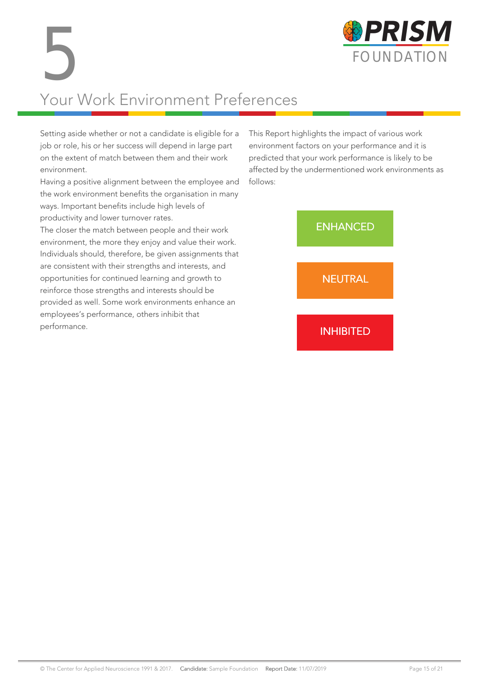

# Your Work Environment Preferences 5

Setting aside whether or not a candidate is eligible for a job or role, his or her success will depend in large part on the extent of match between them and their work environment.

Having a positive alignment between the employee and the work environment benefits the organisation in many ways. Important benefits include high levels of productivity and lower turnover rates.

The closer the match between people and their work environment, the more they enjoy and value their work. Individuals should, therefore, be given assignments that are consistent with their strengths and interests, and opportunities for continued learning and growth to reinforce those strengths and interests should be provided as well. Some work environments enhance an employees's performance, others inhibit that performance.

This Report highlights the impact of various work environment factors on your performance and it is predicted that your work performance is likely to be affected by the undermentioned work environments as follows:

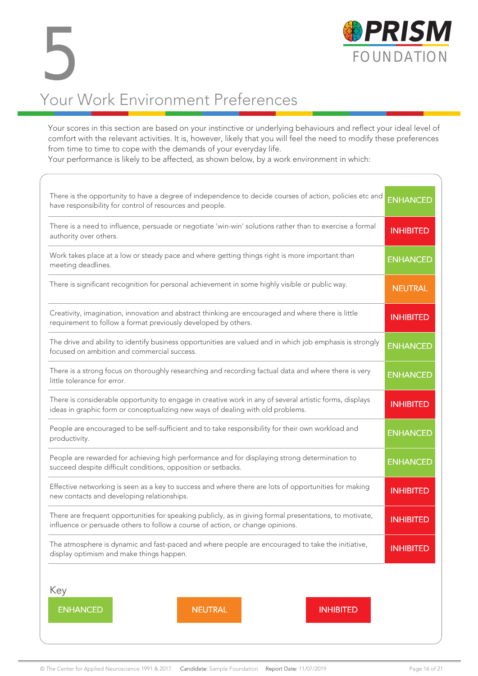

# Your Work Environment Preferences 5

Your scores in this section are based on your instinctive or underlying behaviours and reflect your ideal level of comfort with the relevant activities. It is, however, likely that you will feel the need to modify these preferences from time to time to cope with the demands of your everyday life.

Your performance is likely to be affected, as shown below, by a work environment in which:

| There is the opportunity to have a degree of independence to decide courses of action, policies etc and<br>have responsibility for control of resources and people.                        | <b>ENHANCED</b>  |  |
|--------------------------------------------------------------------------------------------------------------------------------------------------------------------------------------------|------------------|--|
| There is a need to influence, persuade or negotiate 'win-win' solutions rather than to exercise a formal<br>authority over others.                                                         | <b>INHIBITED</b> |  |
| Work takes place at a low or steady pace and where getting things right is more important than<br>meeting deadlines.                                                                       | <b>ENHANCED</b>  |  |
| There is significant recognition for personal achievement in some highly visible or public way.                                                                                            | <b>NEUTRAL</b>   |  |
| Creativity, imagination, innovation and abstract thinking are encouraged and where there is little<br>requirement to follow a format previously developed by others.                       | <b>INHIBITED</b> |  |
| The drive and ability to identify business opportunities are valued and in which job emphasis is strongly<br>focused on ambition and commercial success.                                   | <b>ENHANCED</b>  |  |
| There is a strong focus on thoroughly researching and recording factual data and where there is very<br>little tolerance for error.                                                        | <b>ENHANCED</b>  |  |
| There is considerable opportunity to engage in creative work in any of several artistic forms, displays<br>ideas in graphic form or conceptualizing new ways of dealing with old problems. |                  |  |
| People are encouraged to be self-sufficient and to take responsibility for their own workload and<br>productivity.                                                                         |                  |  |
| People are rewarded for achieving high performance and for displaying strong determination to<br>succeed despite difficult conditions, opposition or setbacks.                             |                  |  |
| Effective networking is seen as a key to success and where there are lots of opportunities for making<br>new contacts and developing relationships.                                        |                  |  |
| There are frequent opportunities for speaking publicly, as in giving formal presentations, to motivate,<br>influence or persuade others to follow a course of action, or change opinions.  | <b>INHIBITED</b> |  |
| The atmosphere is dynamic and fast-paced and where people are encouraged to take the initiative,<br>display optimism and make things happen.                                               | <b>INHIBITED</b> |  |
| Key<br><b>ENHANCED</b><br><b>NEUTRAL</b><br><b>INHIBITED</b>                                                                                                                               |                  |  |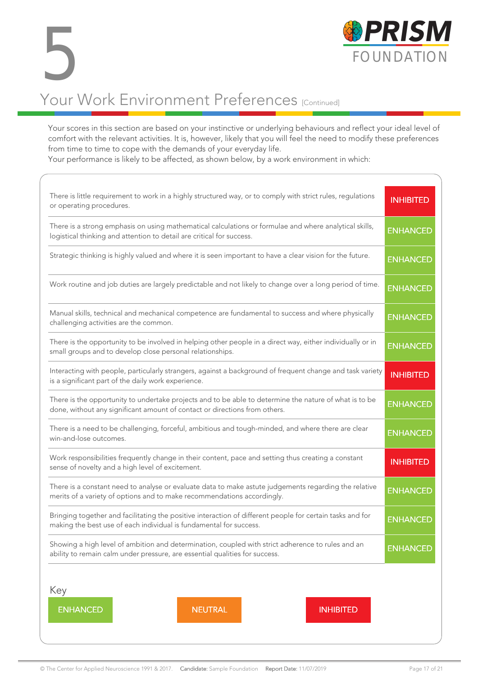

Your scores in this section are based on your instinctive or underlying behaviours and reflect your ideal level of comfort with the relevant activities. It is, however, likely that you will feel the need to modify these preferences from time to time to cope with the demands of your everyday life.

Your performance is likely to be affected, as shown below, by a work environment in which:

| There is little requirement to work in a highly structured way, or to comply with strict rules, regulations<br>or operating procedures.                                              |                 |  |  |  |
|--------------------------------------------------------------------------------------------------------------------------------------------------------------------------------------|-----------------|--|--|--|
| There is a strong emphasis on using mathematical calculations or formulae and where analytical skills,<br>logistical thinking and attention to detail are critical for success.      |                 |  |  |  |
| Strategic thinking is highly valued and where it is seen important to have a clear vision for the future.                                                                            | <b>ENHANCED</b> |  |  |  |
| Work routine and job duties are largely predictable and not likely to change over a long period of time.                                                                             | <b>ENHANCED</b> |  |  |  |
| Manual skills, technical and mechanical competence are fundamental to success and where physically<br>challenging activities are the common.                                         | <b>ENHANCED</b> |  |  |  |
| There is the opportunity to be involved in helping other people in a direct way, either individually or in<br>small groups and to develop close personal relationships.              | <b>ENHANCED</b> |  |  |  |
| Interacting with people, particularly strangers, against a background of frequent change and task variety<br>is a significant part of the daily work experience.                     |                 |  |  |  |
| There is the opportunity to undertake projects and to be able to determine the nature of what is to be<br>done, without any significant amount of contact or directions from others. |                 |  |  |  |
| There is a need to be challenging, forceful, ambitious and tough-minded, and where there are clear<br>win-and-lose outcomes.                                                         |                 |  |  |  |
| Work responsibilities frequently change in their content, pace and setting thus creating a constant<br>sense of novelty and a high level of excitement.                              |                 |  |  |  |
| There is a constant need to analyse or evaluate data to make astute judgements regarding the relative<br>merits of a variety of options and to make recommendations accordingly.     |                 |  |  |  |
| Bringing together and facilitating the positive interaction of different people for certain tasks and for<br>making the best use of each individual is fundamental for success.      |                 |  |  |  |
| Showing a high level of ambition and determination, coupled with strict adherence to rules and an<br>ability to remain calm under pressure, are essential qualities for success.     |                 |  |  |  |
| Key                                                                                                                                                                                  |                 |  |  |  |
| <b>ENHANCED</b><br><b>NEUTRAL</b><br><b>INHIBITED</b>                                                                                                                                |                 |  |  |  |

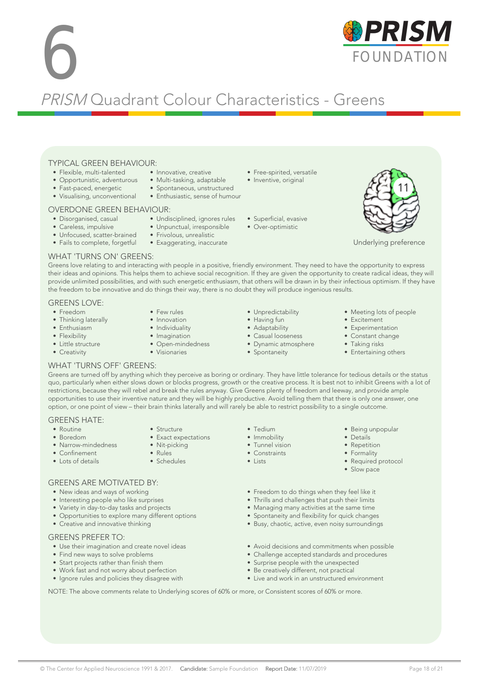#### © The Center for Applied Neuroscience 1991 & 2017. Candidate: Sample Foundation Report Date: 11/07/2019 Page 18 of 21

#### TYPICAL GREEN BEHAVIOUR:

- Opportunistic, adventurous
- Fast-paced, energetic
- Visualising, unconventional

#### OVERDONE GREEN BEHAVIOUR:

- Disorganised, casual
- Careless, impulsive
- Unfocused, scatter-brained
- Fails to complete, forgetful

#### WHAT 'TURNS ON' GREENS:

Greens love relating to and interacting with people in a positive, friendly environment. They need to have the opportunity to express their ideas and opinions. This helps them to achieve social recognition. If they are given the opportunity to create radical ideas, they will provide unlimited possibilities, and with such energetic enthusiasm, that others will be drawn in by their infectious optimism. If they have the freedom to be innovative and do things their way, there is no doubt they will produce ingenious results.

#### GREENS LOVE:

- Freedom
- Thinking laterally
- Enthusiasm
- Flexibility
- Little structure
- Creativity
- Individuality
- Imagination
- Open-mindedness
- Visionaries
- 
- 
- 
- Adaptability • Casual looseness
- Spontaneity

• Tedium • Immobility • Tunnel vision • Constraints • Lists

- Meeting lots of people
- Excitement
- Experimentation • Constant change
- Taking risks
- Entertaining others

• Being unpopular • Details • Repetition • Formality • Required protocol • Slow pace

#### WHAT 'TURNS OFF' GREENS:

GREENS ARE MOTIVATED BY: • New ideas and ways of working • Interesting people who like surprises • Variety in day-to-day tasks and projects • Opportunities to explore many different options

• Creative and innovative thinking

• Find new ways to solve problems • Start projects rather than finish them • Work fast and not worry about perfection • Ignore rules and policies they disagree with

• Use their imagination and create novel ideas

GREENS PREFER TO:

Greens are turned off by anything which they perceive as boring or ordinary. They have little tolerance for tedious details or the status quo, particularly when either slows down or blocks progress, growth or the creative process. It is best not to inhibit Greens with a lot of restrictions, because they will rebel and break the rules anyway. Give Greens plenty of freedom and leeway, and provide ample opportunities to use their inventive nature and they will be highly productive. Avoid telling them that there is only one answer, one option, or one point of view – their brain thinks laterally and will rarely be able to restrict possibility to a single outcome.

#### GREENS HATE:

- Routine • Boredom
- Narrow-mindedness
- Confinement
- Lots of details
- Structure • Exact expectations
- Nit-picking
- Rules
- Schedules
- Freedom to do things when they feel like it
- Thrills and challenges that push their limits
- Managing many activities at the same time
- Spontaneity and flexibility for quick changes
- Busy, chaotic, active, even noisy surroundings
- Avoid decisions and commitments when possible
- Challenge accepted standards and procedures
- Surprise people with the unexpected
- Be creatively different, not practical
- Live and work in an unstructured environment

NOTE: The above comments relate to Underlying scores of 60% or more, or Consistent scores of 60% or more.

- Flexible, multi-talented • Innovative, creative • Free-spirited, versatile
	- Multi-tasking, adaptable
	- Spontaneous, unstructured
	- Enthusiastic, sense of humour

• Undisciplined, ignores rules • Unpunctual, irresponsible • Frivolous, unrealistic • Exaggerating, inaccurate

PRISM Quadrant Colour Characteristics - Greens

- Inventive, original
	-

- Unpredictability
- 
- Dynamic atmosphere
- 
- 
- - Having fun
		- -
			-
- 
- Superficial, evasive
- Over-optimistic



Underlying preference



- 
- Few rules • Innovation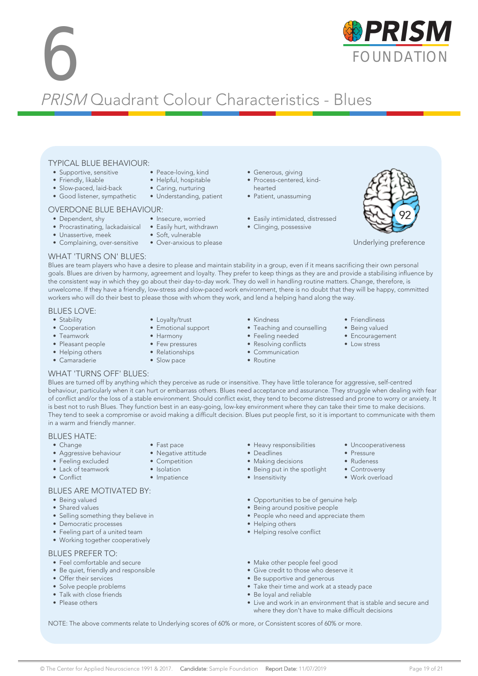# **6 FOUNDATION** PRISM Quadrant Colour Characteristics - Blues

#### TYPICAL BLUE BEHAVIOUR: • Peace-loving, kind

- Supportive, sensitive
- Friendly, likable
- Slow-paced, laid-back
- Good listener, sympathetic
- OVERDONE BLUE BEHAVIOUR:

#### • Dependent, shy

- 
- Procrastinating, lackadaisical Easily hurt, withdrawn • Unassertive, meek
- 
- Complaining, over-sensitive Over-anxious to please

#### • Generous, giving

- Process-centered, kindhearted
- Patient, unassuming
- Easily intimidated, distressed
- Clinging, possessive



Underlying preference

#### WHAT 'TURNS ON' BLUES:

Blues are team players who have a desire to please and maintain stability in a group, even if it means sacrificing their own personal goals. Blues are driven by harmony, agreement and loyalty. They prefer to keep things as they are and provide a stabilising influence by the consistent way in which they go about their day-to-day work. They do well in handling routine matters. Change, therefore, is unwelcome. If they have a friendly, low-stress and slow-paced work environment, there is no doubt that they will be happy, committed workers who will do their best to please those with whom they work, and lend a helping hand along the way.

#### BLUES LOVE:

- Stability
- Cooperation
- Teamwork
- Pleasant people
- Helping others • Camaraderie
- Loyalty/trust
- Emotional support

• Helpful, hospitable • Caring, nurturing • Understanding, patient

• Insecure, worried

• Soft, vulnerable

- Harmony
- Few pressures
- Relationships

• Fast pace • Negative attitude • Competition • Isolation • Impatience

- Slow pace
- Kindness
- Teaching and counselling
- Feeling needed
- Resolving conflicts
- Communication
- Routine
- Friendliness
- Being valued
	- Encouragement

• Uncooperativeness

• Pressure • Rudeness • Controversy • Work overload

• Low stress

#### WHAT 'TURNS OFF' BLUES:

Blues are turned off by anything which they perceive as rude or insensitive. They have little tolerance for aggressive, self-centred behaviour, particularly when it can hurt or embarrass others. Blues need acceptance and assurance. They struggle when dealing with fear of conflict and/or the loss of a stable environment. Should conflict exist, they tend to become distressed and prone to worry or anxiety. It is best not to rush Blues. They function best in an easy-going, low-key environment where they can take their time to make decisions. They tend to seek a compromise or avoid making a difficult decision. Blues put people first, so it is important to communicate with them in a warm and friendly manner.

#### BLUES HATE:

- Change
- Aggressive behaviour
- Feeling excluded
- Lack of teamwork
- Conflict

#### BLUES ARE MOTIVATED BY:

- Being valued
- Shared values
- Selling something they believe in
- Democratic processes
- Feeling part of a united team
- Working together cooperatively

#### BLUES PREFER TO:

- Feel comfortable and secure
- Be quiet, friendly and responsible
- Offer their services
- Solve people problems
- Talk with close friends
- Please others
- Heavy responsibilities
- Deadlines
- Making decisions
- Being put in the spotlight
- Insensitivity
- Opportunities to be of genuine help
- Being around positive people
- People who need and appreciate them
- Helping others
- Helping resolve conflict
- Make other people feel good
- Give credit to those who deserve it
- Be supportive and generous
- Take their time and work at a steady pace
- Be loyal and reliable
- Live and work in an environment that is stable and secure and where they don't have to make difficult decisions

NOTE: The above comments relate to Underlying scores of 60% or more, or Consistent scores of 60% or more.

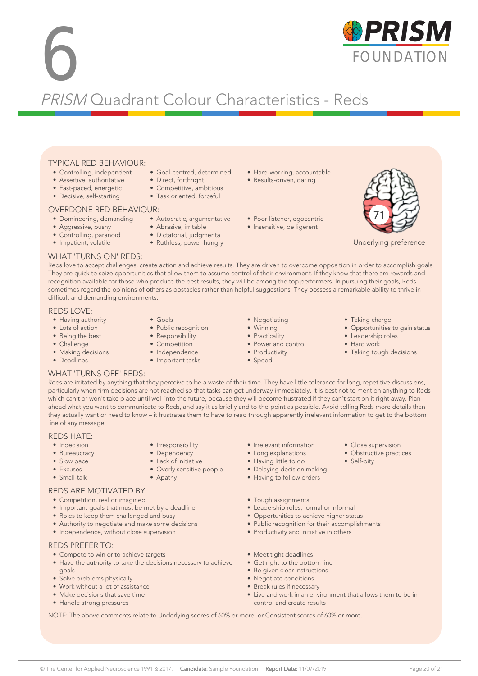# **6 FOUNDATION** PRISM Quadrant Colour Characteristics - Reds

#### TYPICAL RED BEHAVIOUR:

- Controlling, independent
- Assertive, authoritative
- Fast-paced, energetic
- Decisive, self-starting
- 

#### OVERDONE RED BEHAVIOUR:

- 
- Aggressive, pushy
- Controlling, paranoid
- Impatient, volatile
- Direct, forthright • Competitive, ambitious • Task oriented, forceful
- 
- Domineering, demanding Autocratic, argumentative

• Goal-centred, determined

- Abrasive, irritable
- Dictatorial, judgmental • Ruthless, power-hungry
- 
- Hard-working, accountable
- Results-driven, daring
- Poor listener, egocentric
- Insensitive, belligerent



Underlying preference

#### WHAT 'TURNS ON' REDS:

Reds love to accept challenges, create action and achieve results. They are driven to overcome opposition in order to accomplish goals. They are quick to seize opportunities that allow them to assume control of their environment. If they know that there are rewards and recognition available for those who produce the best results, they will be among the top performers. In pursuing their goals, Reds sometimes regard the opinions of others as obstacles rather than helpful suggestions. They possess a remarkable ability to thrive in difficult and demanding environments.

#### REDS LOVE:

- Having authority
- Lots of action
- Being the best
- Challenge
- Making decisions
- Deadlines
- Goals
- Public recognition
- Responsibility
- Competition
- Independence

• Irresponsibility • Dependency • Lack of initiative • Overly sensitive people

• Apathy

- 
- Negotiating • Winning
	-
- Practicality
	-
- Power and control
- Productivity
- Speed
- Taking charge
- Opportunities to gain status
- Leadership roles
- Hard work

• Close supervision • Obstructive practices

• Self-pity

• Taking tough decisions

#### WHAT 'TURNS OFF' REDS:

Reds are irritated by anything that they perceive to be a waste of their time. They have little tolerance for long, repetitive discussions, particularly when firm decisions are not reached so that tasks can get underway immediately. It is best not to mention anything to Reds which can't or won't take place until well into the future, because they will become frustrated if they can't start on it right away. Plan ahead what you want to communicate to Reds, and say it as briefly and to-the-point as possible. Avoid telling Reds more details than they actually want or need to know – it frustrates them to have to read through apparently irrelevant information to get to the bottom line of any message.

#### REDS HATE:

- Indecision
- Bureaucracy
- Slow pace
- Excuses
- Small-talk

#### REDS ARE MOTIVATED BY:

- Competition, real or imagined
- Important goals that must be met by a deadline
- Roles to keep them challenged and busy
- Authority to negotiate and make some decisions
- Independence, without close supervision

#### REDS PREFER TO:

- Compete to win or to achieve targets
- Have the authority to take the decisions necessary to achieve goals
- Solve problems physically
- Work without a lot of assistance
- Make decisions that save time
- Handle strong pressures
- Irrelevant information
- Long explanations
- Having little to do
- Delaying decision making
- Having to follow orders
- Tough assignments
- Leadership roles, formal or informal
- Opportunities to achieve higher status
- Public recognition for their accomplishments
- Productivity and initiative in others
- Meet tight deadlines
- Get right to the bottom line
- Be given clear instructions
- Negotiate conditions • Break rules if necessary
- Live and work in an environment that allows them to be in control and create results

NOTE: The above comments relate to Underlying scores of 60% or more, or Consistent scores of 60% or more.







- Important tasks
-